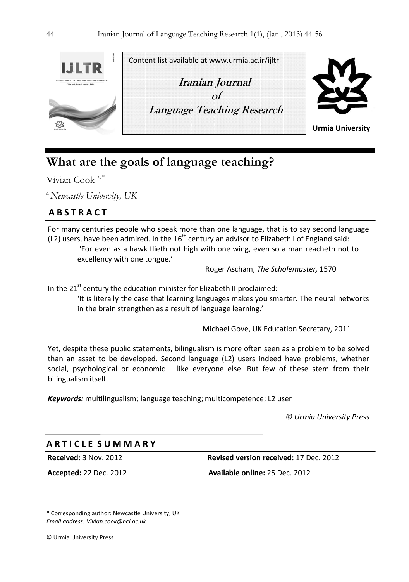

Content list available at www.urmia.ac.ir/ijltr

**Iranian Journal**   $\alpha f$  **Language Teaching Research** 



**Urmia University**

# **What are the goals of language teaching?**

Vivian Cook  $a^*$ 

<sup>a</sup>*Newcastle University, UK*

# **A B S T R A C T**

For many centuries people who speak more than one language, that is to say second language (L2) users, have been admired. In the  $16<sup>th</sup>$  century an advisor to Elizabeth I of England said:

 'For even as a hawk flieth not high with one wing, even so a man reacheth not to excellency with one tongue.'

Roger Ascham, *The Scholemaster,* 1570

In the  $21<sup>st</sup>$  century the education minister for Elizabeth II proclaimed:

'It is literally the case that learning languages makes you smarter. The neural networks in the brain strengthen as a result of language learning.'

Michael Gove, UK Education Secretary, 2011

Yet, despite these public statements, bilingualism is more often seen as a problem to be solved than an asset to be developed. Second language (L2) users indeed have problems, whether social, psychological or economic – like everyone else. But few of these stem from their bilingualism itself.

*Keywords:* multilingualism; language teaching; multicompetence; L2 user

*© Urmia University Press* 

# **A R T I C L E S U M M A R Y**

**Received:** 3 Nov. 2012 **Revised version received:** 17 Dec. 2012

**Accepted:** 22 Dec. 2012 **Available online:** 25 Dec. 2012

\* Corresponding author: Newcastle University, UK *Email address: Vivian.cook@ncl.ac.uk*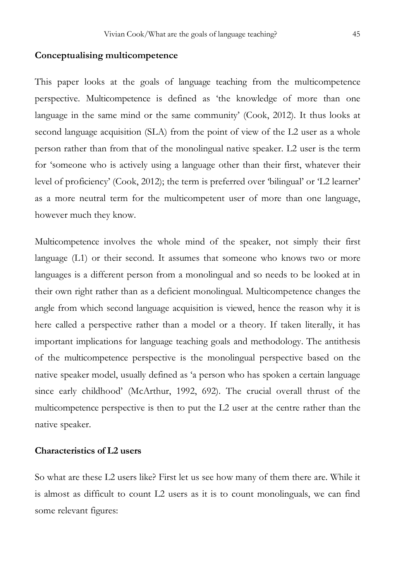# **Conceptualising multicompetence**

This paper looks at the goals of language teaching from the multicompetence perspective. Multicompetence is defined as 'the knowledge of more than one language in the same mind or the same community' (Cook, 2012). It thus looks at second language acquisition (SLA) from the point of view of the L2 user as a whole person rather than from that of the monolingual native speaker. L2 user is the term for 'someone who is actively using a language other than their first, whatever their level of proficiency' (Cook, 2012); the term is preferred over 'bilingual' or 'L2 learner' as a more neutral term for the multicompetent user of more than one language, however much they know.

Multicompetence involves the whole mind of the speaker, not simply their first language (L1) or their second. It assumes that someone who knows two or more languages is a different person from a monolingual and so needs to be looked at in their own right rather than as a deficient monolingual. Multicompetence changes the angle from which second language acquisition is viewed, hence the reason why it is here called a perspective rather than a model or a theory. If taken literally, it has important implications for language teaching goals and methodology. The antithesis of the multicompetence perspective is the monolingual perspective based on the native speaker model, usually defined as 'a person who has spoken a certain language since early childhood' (McArthur, 1992, 692). The crucial overall thrust of the multicompetence perspective is then to put the L2 user at the centre rather than the native speaker.

## **Characteristics of L2 users**

So what are these L2 users like? First let us see how many of them there are. While it is almost as difficult to count L2 users as it is to count monolinguals, we can find some relevant figures: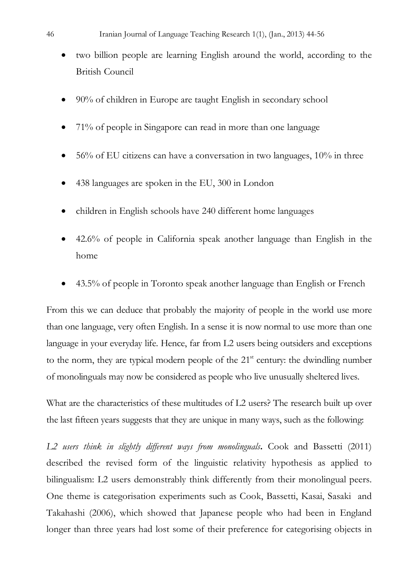- two billion people are learning English around the world, according to the British Council
- 90% of children in Europe are taught English in secondary school
- 71% of people in Singapore can read in more than one language
- 56% of EU citizens can have a conversation in two languages, 10% in three
- 438 languages are spoken in the EU, 300 in London
- children in English schools have 240 different home languages
- 42.6% of people in California speak another language than English in the home
- 43.5% of people in Toronto speak another language than English or French

From this we can deduce that probably the majority of people in the world use more than one language, very often English. In a sense it is now normal to use more than one language in your everyday life. Hence, far from L2 users being outsiders and exceptions to the norm, they are typical modern people of the  $21<sup>st</sup>$  century: the dwindling number of monolinguals may now be considered as people who live unusually sheltered lives.

What are the characteristics of these multitudes of L2 users? The research built up over the last fifteen years suggests that they are unique in many ways, such as the following:

*L2 users think in slightly different ways from monolinguals***.** Cook and Bassetti (2011) described the revised form of the linguistic relativity hypothesis as applied to bilingualism: L2 users demonstrably think differently from their monolingual peers. One theme is categorisation experiments such as Cook, Bassetti, Kasai, Sasaki and Takahashi (2006), which showed that Japanese people who had been in England longer than three years had lost some of their preference for categorising objects in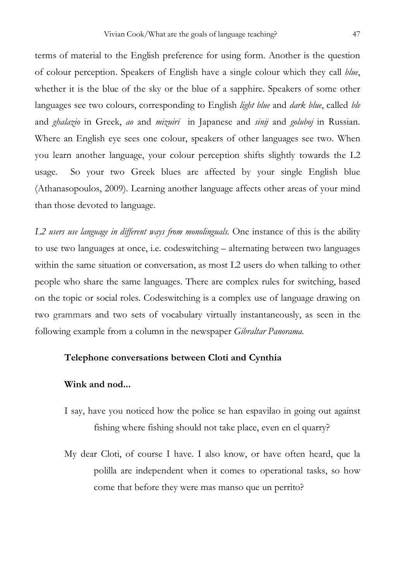terms of material to the English preference for using form. Another is the question of colour perception. Speakers of English have a single colour which they call *blue*, whether it is the blue of the sky or the blue of a sapphire. Speakers of some other languages see two colours, corresponding to English *light blue* and *dark blue*, called *ble*  and *ghalazio* in Greek, *ao* and *mizuiri* in Japanese and *sinij* and *goluboj* in Russian. Where an English eye sees one colour, speakers of other languages see two. When you learn another language, your colour perception shifts slightly towards the L2 usage. So your two Greek blues are affected by your single English blue (Athanasopoulos, 2009). Learning another language affects other areas of your mind than those devoted to language.

*L2 users use language in different ways from monolinguals.* One instance of this is the ability to use two languages at once, i.e. codeswitching – alternating between two languages within the same situation or conversation, as most L2 users do when talking to other people who share the same languages. There are complex rules for switching, based on the topic or social roles. Codeswitching is a complex use of language drawing on two grammars and two sets of vocabulary virtually instantaneously, as seen in the following example from a column in the newspaper *Gibraltar Panorama*.

#### **Telephone conversations between Cloti and Cynthia**

#### **Wink and nod...**

- I say, have you noticed how the police se han espavilao in going out against fishing where fishing should not take place, even en el quarry?
- My dear Cloti, of course I have. I also know, or have often heard, que la polilla are independent when it comes to operational tasks, so how come that before they were mas manso que un perrito?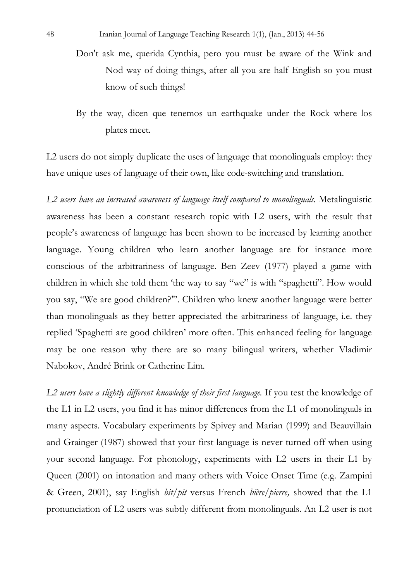- Don't ask me, querida Cynthia, pero you must be aware of the Wink and Nod way of doing things, after all you are half English so you must know of such things!
- By the way, dicen que tenemos un earthquake under the Rock where los plates meet.

L2 users do not simply duplicate the uses of language that monolinguals employ: they have unique uses of language of their own, like code-switching and translation.

*L2 users have an increased awareness of language itself compared to monolinguals.* Metalinguistic awareness has been a constant research topic with L2 users, with the result that people's awareness of language has been shown to be increased by learning another language. Young children who learn another language are for instance more conscious of the arbitrariness of language. Ben Zeev (1977) played a game with children in which she told them 'the way to say "we" is with "spaghetti". How would you say, "We are good children?"'. Children who knew another language were better than monolinguals as they better appreciated the arbitrariness of language, i.e. they replied 'Spaghetti are good children' more often. This enhanced feeling for language may be one reason why there are so many bilingual writers, whether Vladimir Nabokov, André Brink or Catherine Lim.

*L2 users have a slightly different knowledge of their first language.* If you test the knowledge of the L1 in L2 users, you find it has minor differences from the L1 of monolinguals in many aspects. Vocabulary experiments by Spivey and Marian (1999) and Beauvillain and Grainger (1987) showed that your first language is never turned off when using your second language. For phonology, experiments with L2 users in their L1 by Queen (2001) on intonation and many others with Voice Onset Time (e.g. Zampini & Green, 2001), say English *bit/pit* versus French *bière/pierre,* showed that the L1 pronunciation of L2 users was subtly different from monolinguals. An L2 user is not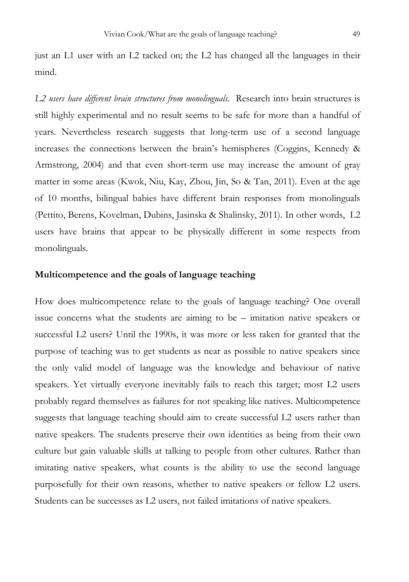just an L1 user with an L2 tacked on; the L2 has changed all the languages in their mind.

*L2 users have different brain structures from monolinguals*. Research into brain structures is still highly experimental and no result seems to be safe for more than a handful of years. Nevertheless research suggests that long-term use of a second language increases the connections between the brain's hemispheres (Coggins, Kennedy & Armstrong, 2004) and that even short-term use may increase the amount of gray matter in some areas (Kwok, Niu, Kay, Zhou, Jin, So & Tan, 2011). Even at the age of 10 months, bilingual babies have different brain responses from monolinguals (Pettito, Berens, Kovelman, Dubins, Jasinska & Shalinsky, 2011). In other words, L2 users have brains that appear to be physically different in some respects from monolinguals.

## **Multicompetence and the goals of language teaching**

How does multicompetence relate to the goals of language teaching? One overall issue concerns what the students are aiming to be – imitation native speakers or successful L2 users? Until the 1990s, it was more or less taken for granted that the purpose of teaching was to get students as near as possible to native speakers since the only valid model of language was the knowledge and behaviour of native speakers. Yet virtually everyone inevitably fails to reach this target; most L2 users probably regard themselves as failures for not speaking like natives. Multicompetence suggests that language teaching should aim to create successful L2 users rather than native speakers. The students preserve their own identities as being from their own culture but gain valuable skills at talking to people from other cultures. Rather than imitating native speakers, what counts is the ability to use the second language purposefully for their own reasons, whether to native speakers or fellow L2 users. Students can be successes as L2 users, not failed imitations of native speakers.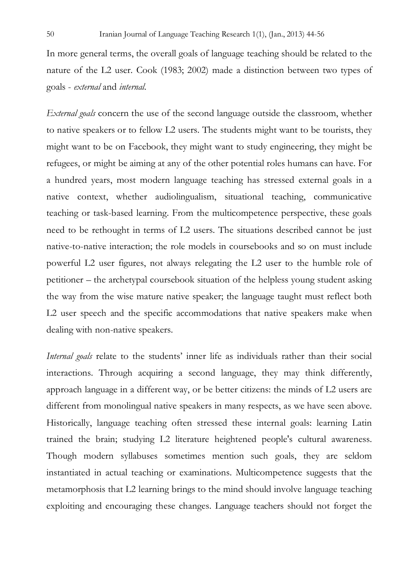In more general terms, the overall goals of language teaching should be related to the nature of the L2 user. Cook (1983; 2002) made a distinction between two types of goals - *external* and *internal*.

*External goals* concern the use of the second language outside the classroom, whether to native speakers or to fellow L2 users. The students might want to be tourists, they might want to be on Facebook, they might want to study engineering, they might be refugees, or might be aiming at any of the other potential roles humans can have. For a hundred years, most modern language teaching has stressed external goals in a native context, whether audiolingualism, situational teaching, communicative teaching or task-based learning. From the multicompetence perspective, these goals need to be rethought in terms of L2 users. The situations described cannot be just native-to-native interaction; the role models in coursebooks and so on must include powerful L2 user figures, not always relegating the L2 user to the humble role of petitioner – the archetypal coursebook situation of the helpless young student asking the way from the wise mature native speaker; the language taught must reflect both L2 user speech and the specific accommodations that native speakers make when dealing with non-native speakers.

*Internal goals* relate to the students' inner life as individuals rather than their social interactions. Through acquiring a second language, they may think differently, approach language in a different way, or be better citizens: the minds of L2 users are different from monolingual native speakers in many respects, as we have seen above. Historically, language teaching often stressed these internal goals: learning Latin trained the brain; studying L2 literature heightened people's cultural awareness. Though modern syllabuses sometimes mention such goals, they are seldom instantiated in actual teaching or examinations. Multicompetence suggests that the metamorphosis that L2 learning brings to the mind should involve language teaching exploiting and encouraging these changes. Language teachers should not forget the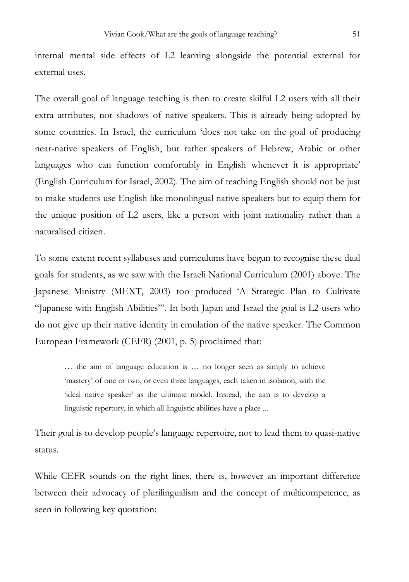The overall goal of language teaching is then to create skilful L2 users with all their extra attributes, not shadows of native speakers. This is already being adopted by some countries. In Israel, the curriculum 'does not take on the goal of producing near-native speakers of English, but rather speakers of Hebrew, Arabic or other languages who can function comfortably in English whenever it is appropriate' (English Curriculum for Israel, 2002). The aim of teaching English should not be just to make students use English like monolingual native speakers but to equip them for the unique position of L2 users, like a person with joint nationality rather than a naturalised citizen.

To some extent recent syllabuses and curriculums have begun to recognise these dual goals for students, as we saw with the Israeli National Curriculum (2001) above. The Japanese Ministry (MEXT, 2003) too produced 'A Strategic Plan to Cultivate "Japanese with English Abilities"'. In both Japan and Israel the goal is L2 users who do not give up their native identity in emulation of the native speaker. The Common European Framework (CEFR) (2001, p. 5) proclaimed that:

… the aim of language education is … no longer seen as simply to achieve 'mastery' of one or two, or even three languages, each taken in isolation, with the 'ideal native speaker' as the ultimate model. Instead, the aim is to develop a linguistic repertory, in which all linguistic abilities have a place ...

Their goal is to develop people's language repertoire, not to lead them to quasi-native status.

While CEFR sounds on the right lines, there is, however an important difference between their advocacy of plurilingualism and the concept of multicompetence, as seen in following key quotation: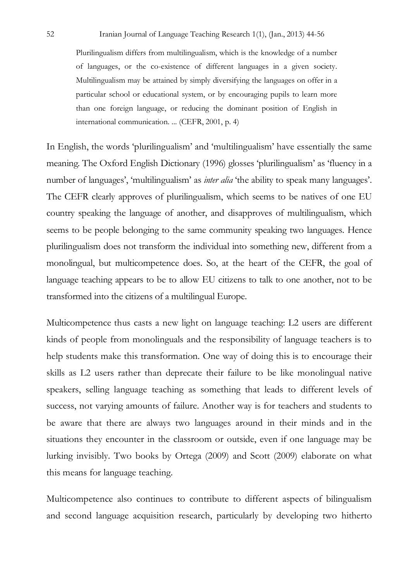Plurilingualism differs from multilingualism, which is the knowledge of a number of languages, or the co-existence of different languages in a given society. Multilingualism may be attained by simply diversifying the languages on offer in a particular school or educational system, or by encouraging pupils to learn more than one foreign language, or reducing the dominant position of English in international communication. ... (CEFR, 2001, p. 4)

In English, the words 'plurilingualism' and 'multilingualism' have essentially the same meaning. The Oxford English Dictionary (1996) glosses 'plurilingualism' as 'fluency in a number of languages', 'multilingualism' as *inter alia* 'the ability to speak many languages'. The CEFR clearly approves of plurilingualism, which seems to be natives of one EU country speaking the language of another, and disapproves of multilingualism, which seems to be people belonging to the same community speaking two languages. Hence plurilingualism does not transform the individual into something new, different from a monolingual, but multicompetence does. So, at the heart of the CEFR, the goal of language teaching appears to be to allow EU citizens to talk to one another, not to be transformed into the citizens of a multilingual Europe.

Multicompetence thus casts a new light on language teaching: L2 users are different kinds of people from monolinguals and the responsibility of language teachers is to help students make this transformation. One way of doing this is to encourage their skills as L2 users rather than deprecate their failure to be like monolingual native speakers, selling language teaching as something that leads to different levels of success, not varying amounts of failure. Another way is for teachers and students to be aware that there are always two languages around in their minds and in the situations they encounter in the classroom or outside, even if one language may be lurking invisibly. Two books by Ortega (2009) and Scott (2009) elaborate on what this means for language teaching.

Multicompetence also continues to contribute to different aspects of bilingualism and second language acquisition research, particularly by developing two hitherto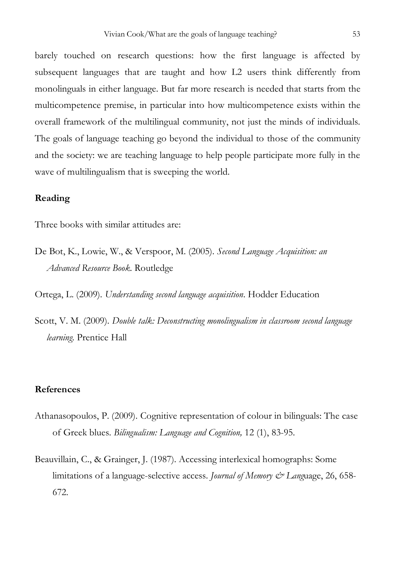barely touched on research questions: how the first language is affected by subsequent languages that are taught and how L2 users think differently from monolinguals in either language. But far more research is needed that starts from the multicompetence premise, in particular into how multicompetence exists within the overall framework of the multilingual community, not just the minds of individuals. The goals of language teaching go beyond the individual to those of the community and the society: we are teaching language to help people participate more fully in the wave of multilingualism that is sweeping the world.

## **Reading**

Three books with similar attitudes are:

De Bot, K., Lowie, W., & Verspoor, M. (2005). *Second Language Acquisition: an Advanced Resource Book.* Routledge

Ortega, L. (2009). *Understanding second language acquisition*. Hodder Education

Scott, V. M. (2009). *Double talk: Deconstructing monolingualism in classroom second language learning*. Prentice Hall

#### **References**

- Athanasopoulos, P. (2009). Cognitive representation of colour in bilinguals: The case of Greek blues. *Bilingualism: Language and Cognition,* 12 (1), 83-95.
- Beauvillain, C., & Grainger, J. (1987). Accessing interlexical homographs: Some limitations of a language-selective access. *Journal of Memory & Language*, 26, 658-672.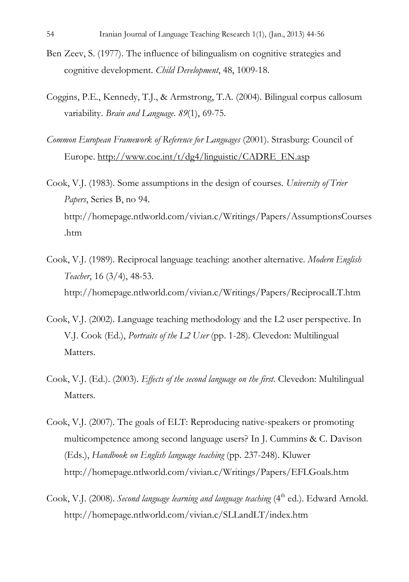- Ben Zeev, S. (1977). The influence of bilingualism on cognitive strategies and cognitive development. *Child Development*, 48, 1009-18.
- Coggins, P.E., Kennedy, T.J., & Armstrong, T.A. (2004). Bilingual corpus callosum variability. *Brain and Language*. *89*(1), 69-75.
- *Common European Framework of Reference for Languages* (2001). Strasburg: Council of Europe. http://www.coe.int/t/dg4/linguistic/CADRE\_EN.asp
- Cook, V.J. (1983). Some assumptions in the design of courses. *University of Trier Papers*, Series B, no 94. http://homepage.ntlworld.com/vivian.c/Writings/Papers/AssumptionsCourses .htm
- Cook, V.J. (1989). Reciprocal language teaching: another alternative. *Modern English Teacher*, 16 (3/4), 48-53. http://homepage.ntlworld.com/vivian.c/Writings/Papers/ReciprocalLT.htm
- Cook, V.J. (2002). Language teaching methodology and the L2 user perspective. In V.J. Cook (Ed.), *Portraits of the L2 User* (pp. 1-28)*.* Clevedon: Multilingual Matters.
- Cook, V.J. (Ed.). (2003). *Effects of the second language on the first.* Clevedon: Multilingual Matters.
- Cook, V.J. (2007). The goals of ELT: Reproducing native-speakers or promoting multicompetence among second language users? In J. Cummins & C. Davison (Eds.), *Handbook on English language teaching* (pp. 237-248). Kluwer http://homepage.ntlworld.com/vivian.c/Writings/Papers/EFLGoals.htm
- Cook, V.J. (2008). *Second language learning and language teaching* (4<sup>th</sup> ed.). Edward Arnold. http://homepage.ntlworld.com/vivian.c/SLLandLT/index.htm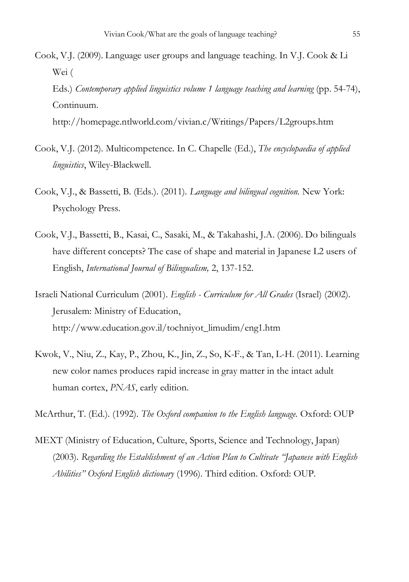- Cook, V.J. (2009). Language user groups and language teaching. In V.J. Cook & Li Wei (
	- Eds.) *Contemporary applied linguistics volume 1 language teaching and learning* (pp. 54-74), Continuum.

http://homepage.ntlworld.com/vivian.c/Writings/Papers/L2groups.htm

- Cook, V.J. (2012). Multicompetence. In C. Chapelle (Ed.), *The encyclopaedia of applied linguistics*, Wiley-Blackwell.
- Cook, V.J., & Bassetti, B. (Eds.). (2011). *Language and bilingual cognition.* New York: Psychology Press.
- Cook, V.J., Bassetti, B., Kasai, C., Sasaki, M., & Takahashi, J.A. (2006). Do bilinguals have different concepts? The case of shape and material in Japanese L2 users of English, *International Journal of Bilingualism,* 2, 137-152.
- Israeli National Curriculum (2001). *English Curriculum for All Grades* (Israel) (2002). Jerusalem: Ministry of Education, http://www.education.gov.il/tochniyot\_limudim/eng1.htm
- Kwok, V., Niu, Z., Kay, P., Zhou, K., Jin, Z., So, K-F., & Tan, L-H. (2011). Learning new color names produces rapid increase in gray matter in the intact adult human cortex, *PNAS*, early edition.

McArthur, T. (Ed.). (1992). *The Oxford companion to the English language.* Oxford: OUP

MEXT (Ministry of Education, Culture, Sports, Science and Technology, Japan) (2003). *Regarding the Establishment of an Action Plan to Cultivate "Japanese with English Abilities" Oxford English dictionary* (1996). Third edition. Oxford: OUP.